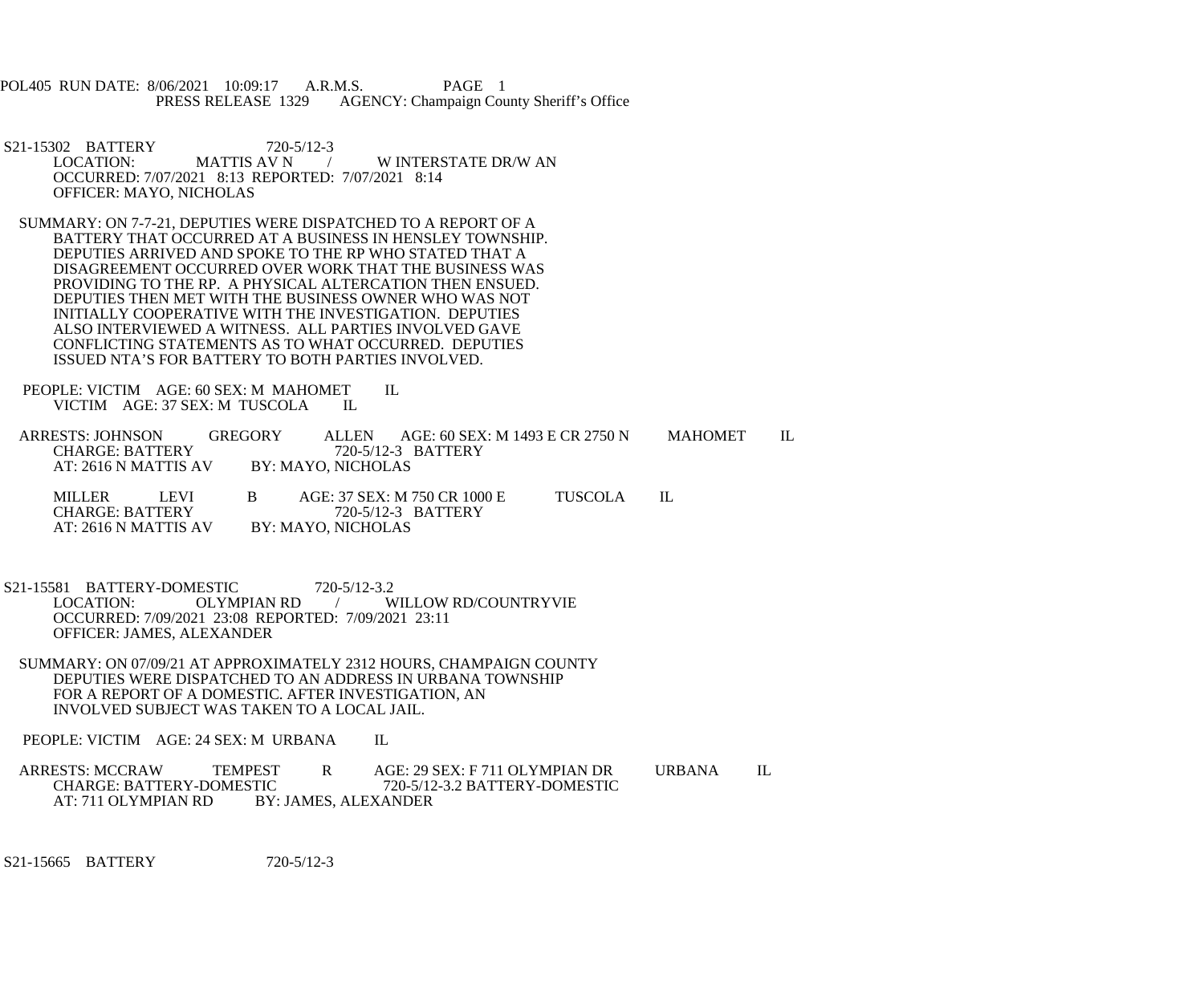POL405 RUN DATE: 8/06/2021 10:09:17 A.R.M.S. PAGE 1<br>PRESS RELEASE 1329 AGENCY: Champaign Cou AGENCY: Champaign County Sheriff's Office

S21-15302 BATTERY 720-5/12-3<br>1. LOCATION: MATTIS AV N W INTERSTATE DR/W AN OCCURRED: 7/07/2021 8:13 REPORTED: 7/07/2021 8:14 OFFICER: MAYO, NICHOLAS

 SUMMARY: ON 7-7-21, DEPUTIES WERE DISPATCHED TO A REPORT OF A BATTERY THAT OCCURRED AT A BUSINESS IN HENSLEY TOWNSHIP. DEPUTIES ARRIVED AND SPOKE TO THE RP WHO STATED THAT A DISAGREEMENT OCCURRED OVER WORK THAT THE BUSINESS WAS PROVIDING TO THE RP. A PHYSICAL ALTERCATION THEN ENSUED. DEPUTIES THEN MET WITH THE BUSINESS OWNER WHO WAS NOT INITIALLY COOPERATIVE WITH THE INVESTIGATION. DEPUTIES ALSO INTERVIEWED A WITNESS. ALL PARTIES INVOLVED GAVE CONFLICTING STATEMENTS AS TO WHAT OCCURRED. DEPUTIES ISSUED NTA'S FOR BATTERY TO BOTH PARTIES INVOLVED.

PEOPLE: VICTIM AGE: 60 SEX: M MAHOMET IL VICTIM AGE: 37 SEX: M TUSCOLA IL VICTIM AGE: 37 SEX: M TUSCOLA

ARRESTS: JOHNSON GREGORY ALLEN AGE: 60 SEX: M 1493 E CR 2750 N MAHOMET IL<br>CHARGE: BATTERY 720-5/12-3 BATTERY CHARGE: BATTERY 720-5/12-3 BATTERY<br>AT: 2616 N MATTIS AV BY: MAYO, NICHOLAS BY: MAYO, NICHOLAS

MILLER LEVI B AGE: 37 SEX: M 750 CR 1000 E TUSCOLA IL<br>CHARGE: BATTERY 720-5/12-3 BATTERY 720-5/12-3 BATTERY<br>BY: MAYO, NICHOLAS AT: 2616 N MATTIS AV

S21-15581 BATTERY-DOMESTIC 720-5/12-3.2<br>LOCATION: OLYMPIAN RD / W / WILLOW RD/COUNTRYVIE OCCURRED: 7/09/2021 23:08 REPORTED: 7/09/2021 23:11 OFFICER: JAMES, ALEXANDER

 SUMMARY: ON 07/09/21 AT APPROXIMATELY 2312 HOURS, CHAMPAIGN COUNTY DEPUTIES WERE DISPATCHED TO AN ADDRESS IN URBANA TOWNSHIP FOR A REPORT OF A DOMESTIC. AFTER INVESTIGATION, AN INVOLVED SUBJECT WAS TAKEN TO A LOCAL JAIL.

PEOPLE: VICTIM AGE: 24 SEX: M URBANA IL

ARRESTS: MCCRAW TEMPEST R AGE: 29 SEX: F 711 OLYMPIAN DR URBANA IL<br>CHARGE: BATTERY-DOMESTIC 720-5/12-3.2 BATTERY-DOMESTIC CHARGE: BATTERY-DOMESTIC 720-5/12-3.2 BATTERY-DOMESTIC<br>AT: 711 OLYMPIAN RD BY: JAMES, ALEXANDER **BY: JAMES, ALEXANDER** 

S21-15665 BATTERY 720-5/12-3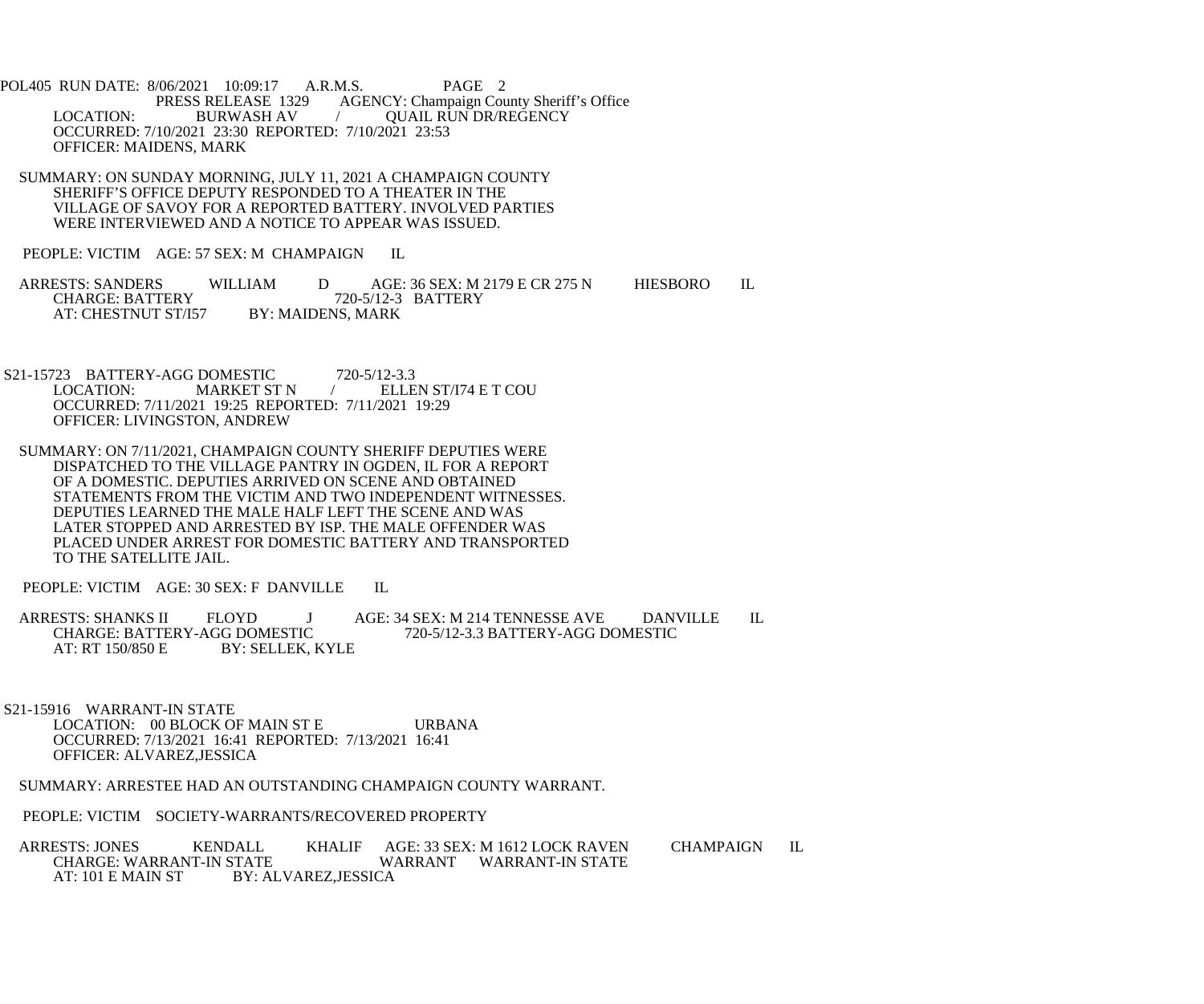POL405 RUN DATE: 8/06/2021 10:09:17 A.R.M.S. PAGE 2<br>PRESS RELEASE 1329 AGENCY: Champaign Cou AGENCY: Champaign County Sheriff's Office LOCATION: BURWASH AV / QUAIL RUN DR/REGENCY OCCURRED: 7/10/2021 23:30 REPORTED: 7/10/2021 23:53 OFFICER: MAIDENS, MARK

 SUMMARY: ON SUNDAY MORNING, JULY 11, 2021 A CHAMPAIGN COUNTY SHERIFF'S OFFICE DEPUTY RESPONDED TO A THEATER IN THE VILLAGE OF SAVOY FOR A REPORTED BATTERY. INVOLVED PARTIES WERE INTERVIEWED AND A NOTICE TO APPEAR WAS ISSUED.

PEOPLE: VICTIM AGE: 57 SEX: M CHAMPAIGN IL

ARRESTS: SANDERS WILLIAM D AGE: 36 SEX: M 2179 E CR 275 N HIESBORO IL CHARGE: BATTERY 720-5/12-3 BATTERY 720-5/12-3 BATTERY<br>BY: MAIDENS, MARK AT: CHESTNUT ST/I57

S21-15723 BATTERY-AGG DOMESTIC 720-5/12-3.3<br>LOCATION: MARKET ST N / ELLE ELLEN ST/I74 E T COU OCCURRED: 7/11/2021 19:25 REPORTED: 7/11/2021 19:29 OFFICER: LIVINGSTON, ANDREW

 SUMMARY: ON 7/11/2021, CHAMPAIGN COUNTY SHERIFF DEPUTIES WERE DISPATCHED TO THE VILLAGE PANTRY IN OGDEN, IL FOR A REPORT OF A DOMESTIC. DEPUTIES ARRIVED ON SCENE AND OBTAINED STATEMENTS FROM THE VICTIM AND TWO INDEPENDENT WITNESSES. DEPUTIES LEARNED THE MALE HALF LEFT THE SCENE AND WAS LATER STOPPED AND ARRESTED BY ISP. THE MALE OFFENDER WAS PLACED UNDER ARREST FOR DOMESTIC BATTERY AND TRANSPORTED TO THE SATELLITE JAIL.

PEOPLE: VICTIM AGE: 30 SEX: F DANVILLE IL

ARRESTS: SHANKS II FLOYD J AGE: 34 SEX: M 214 TENNESSE AVE DANVILLE IL CHARGE: BATTERY-AGG DOMESTIC 720-5/12-3.3 BATTERY-AGG DOMESTIC CHARGE: BATTERY-AGG DOMESTIC 720-5/12-3.3 BATTERY-AGG DOMESTIC<br>AT: RT 150/850 E BY: SELLEK, KYLE BY: SELLEK, KYLE

 S21-15916 WARRANT-IN STATE LOCATION: 00 BLOCK OF MAIN ST E URBANA OCCURRED: 7/13/2021 16:41 REPORTED: 7/13/2021 16:41 OFFICER: ALVAREZ,JESSICA

SUMMARY: ARRESTEE HAD AN OUTSTANDING CHAMPAIGN COUNTY WARRANT.

PEOPLE: VICTIM SOCIETY-WARRANTS/RECOVERED PROPERTY

ARRESTS: JONES KENDALL KHALIF AGE: 33 SEX: M 1612 LOCK RAVEN CHAMPAIGN IL CHARGE: WARRANT WARRANT WARRANT-IN STATE CHARGE: WARRANT-IN STATE WARRANT WARRANT-IN STATE<br>AT: 101 E MAIN ST BY: ALVAREZ.JESSICA BY: ALVAREZ, JESSICA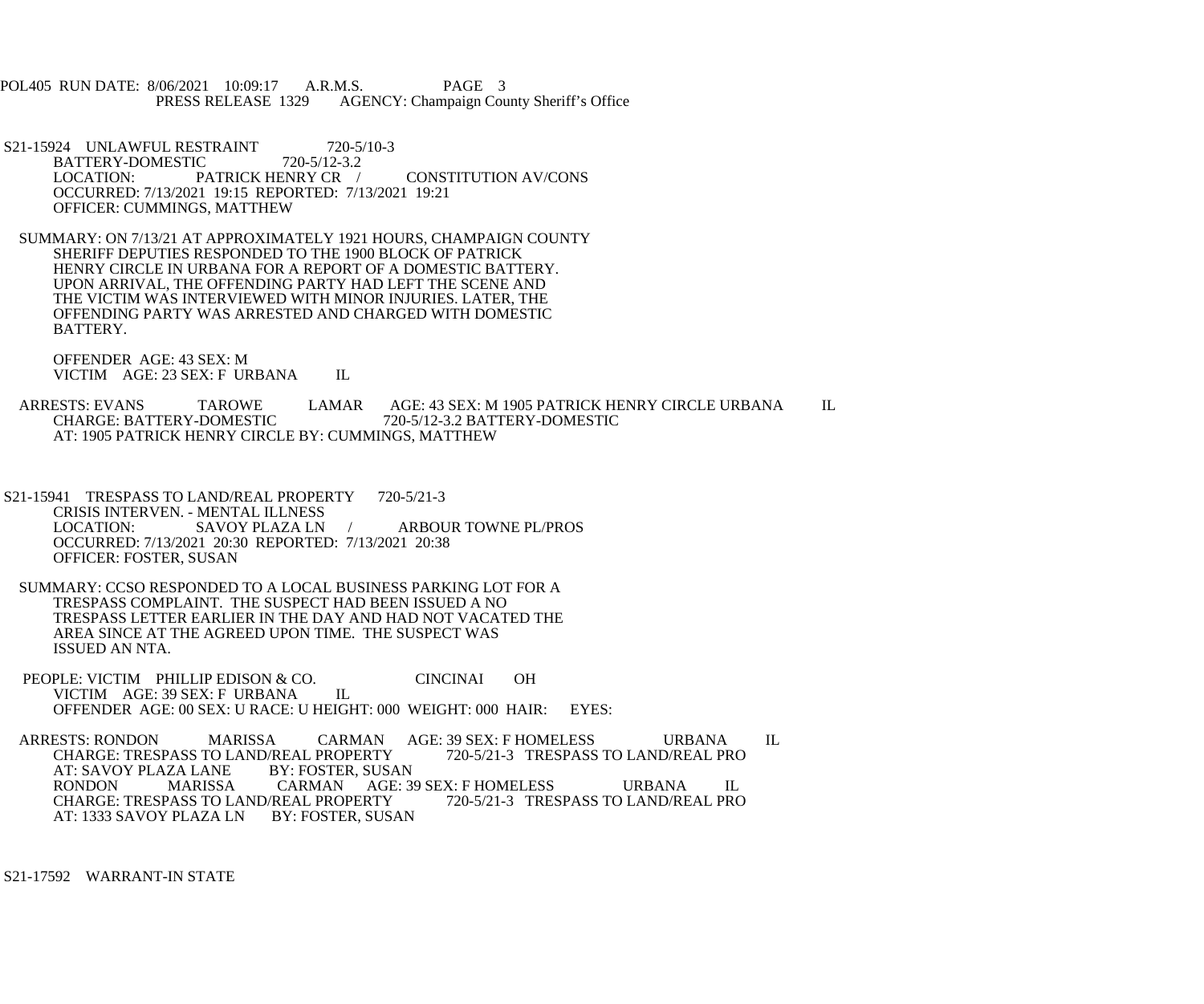POL405 RUN DATE: 8/06/2021 10:09:17 A.R.M.S. PAGE 3<br>PRESS RELEASE 1329 AGENCY: Champaign Cou AGENCY: Champaign County Sheriff's Office

- S21-15924 UNLAWFUL RESTRAINT 720-5/10-3<br>BATTERY-DOMESTIC 720-5/12-3.2 BATTERY-DOMESTIC<br>LOCATION: P/ PATRICK HENRY CR / CONSTITUTION AV/CONS OCCURRED: 7/13/2021 19:15 REPORTED: 7/13/2021 19:21 OFFICER: CUMMINGS, MATTHEW
- SUMMARY: ON 7/13/21 AT APPROXIMATELY 1921 HOURS, CHAMPAIGN COUNTY SHERIFF DEPUTIES RESPONDED TO THE 1900 BLOCK OF PATRICK HENRY CIRCLE IN URBANA FOR A REPORT OF A DOMESTIC BATTERY. UPON ARRIVAL, THE OFFENDING PARTY HAD LEFT THE SCENE AND THE VICTIM WAS INTERVIEWED WITH MINOR INJURIES. LATER, THE OFFENDING PARTY WAS ARRESTED AND CHARGED WITH DOMESTIC BATTERY.

 OFFENDER AGE: 43 SEX: M VICTIM AGE: 23 SEX: F URBANA IL

ARRESTS: EVANS TAROWE LAMAR AGE: 43 SEX: M 1905 PATRICK HENRY CIRCLE URBANA IL<br>CHARGE: BATTERY-DOMESTIC 720-5/12-3.2 BATTERY-DOMESTIC CHARGE: BATTERY-DOMESTIC 720-5/12-3.2 BATTERY-DOMESTIC AT: 1905 PATRICK HENRY CIRCLE BY: CUMMINGS, MATTHEW

- S21-15941 TRESPASS TO LAND/REAL PROPERTY 720-5/21-3 CRISIS INTERVEN. - MENTAL ILLNESS<br>LOCATION: SAVOY PLAZA LN / ARBOUR TOWNE PL/PROS OCCURRED: 7/13/2021 20:30 REPORTED: 7/13/2021 20:38 OFFICER: FOSTER, SUSAN
- SUMMARY: CCSO RESPONDED TO A LOCAL BUSINESS PARKING LOT FOR A TRESPASS COMPLAINT. THE SUSPECT HAD BEEN ISSUED A NO TRESPASS LETTER EARLIER IN THE DAY AND HAD NOT VACATED THE AREA SINCE AT THE AGREED UPON TIME. THE SUSPECT WAS ISSUED AN NTA.
- PEOPLE: VICTIM PHILLIP EDISON & CO. CINCINAI OH<br>VICTIM AGE: 39 SEX: F URBANA IL VICTIM AGE: 39 SEX: F URBANA OFFENDER AGE: 00 SEX: U RACE: U HEIGHT: 000 WEIGHT: 000 HAIR: EYES:

ARRESTS: RONDON MARISSA CARMAN AGE: 39 SEX: F HOMELESS URBANA IL<br>CHARGE: TRESPASS TO LAND/REAL PROPERTY 720-5/21-3 TRESPASS TO LAND/REAL PRO CHARGE: TRESPASS TO LAND/REAL PROPERTY<br>AT: SAVOY PLAZA LANE BY: FOSTER, SUSAN AT: SAVOY PLAZA LANE RONDON MARISSA CARMAN AGE: 39 SEX: F HOMELESS URBANA IL CHARGE: TRESPASS TO LAND/REAL PROPERTY 720-5/21-3 TRESPASS TO LAND/REAL PRO CHARGE: TRESPASS TO LAND/REAL PROPERTY<br>AT: 1333 SAVOY PLAZA LN BY: FOSTER, SUSAN AT: 1333 SAVOY PLAZA LN

S21-17592 WARRANT-IN STATE